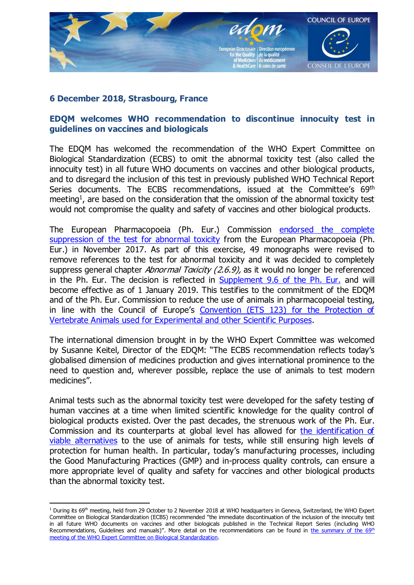

## 6 December 2018, Strasbourg, France

## EDQM welcomes WHO recommendation to discontinue innocuity test in guidelines on vaccines and biologicals

The EDQM has welcomed the recommendation of the WHO Expert Committee on Biological Standardization (ECBS) to omit the abnormal toxicity test (also called the innocuity test) in all future WHO documents on vaccines and other biological products, and to disregard the inclusion of this test in previously published WHO Technical Report Series documents. The ECBS recommendations, issued at the Committee's 69<sup>th</sup> meeting<sup>1</sup>, are based on the consideration that the omission of the abnormal toxicity test would not compromise the quality and safety of vaccines and other biological products.

The European Pharmacopoeia (Ph. Eur.) Commission [endorsed](https://www.edqm.eu/en/news/suppression-test-abnormal-toxicity-european-pharmacopoeia) the complete [suppression](https://www.edqm.eu/en/news/suppression-test-abnormal-toxicity-european-pharmacopoeia) of the test for abnormal toxicity from the European Pharmacopoeia (Ph. Eur.) in November 2017. As part of this exercise, 49 monographs were revised to remove references to the test for abnormal toxicity and it was decided to completely suppress general chapter Abnormal Toxicity  $(2.6.9)$ , as it would no longer be referenced in the Ph. Eur. The decision is reflected in [Supplement](https://www.edqm.eu/sites/default/files/supplement-content-list-96e.pdf) 9.6 of the Ph. Eur. and will become effective as of 1 January 2019. This testifies to the commitment of the EDQM and of the Ph. Eur. Commission to reduce the use of animals in pharmacopoeial testing, in line with the Council of Europe's [Convention](https://www.coe.int/en/web/conventions/full-list/-/conventions/treaty/123) (ETS 123) for the Protection of Vertebrate Animals used for [Experimental](https://www.coe.int/en/web/conventions/full-list/-/conventions/treaty/123) and other Scientific Purposes.

The international dimension brought in by the WHO Expert Committee was welcomed by Susanne Keitel, Director of the EDQM: "The ECBS recommendation reflects today's globalised dimension of medicines production and gives international prominence to the need to question and, wherever possible, replace the use of animals to test modern medicines".

Animal tests such as the abnormal toxicity test were developed for the safety testing of human vaccines at a time when limited scientific knowledge for the quality control of biological products existed. Over the past decades, the strenuous work of the Ph. Eur. Commission and its counterparts at global level has allowed for the [identification](https://www.edqm.eu/en/alternatives-animal-testing) of viable [alternatives](https://www.edqm.eu/en/alternatives-animal-testing) to the use of animals for tests, while still ensuring high levels of protection for human health. In particular, today's manufacturing processes, including the Good Manufacturing Practices (GMP) and in-process quality controls, can ensure a more appropriate level of quality and safety for vaccines and other biological products than the abnormal toxicity test.

<sup>&</sup>lt;sup>1</sup> During its 69<sup>th</sup> meeting, held from 29 October to 2 November 2018 at WHO headquarters in Geneva, Switzerland, the WHO Expert Committee on Biological Standardization (ECBS) recommended "the immediate discontinuation of the inclusion of the innocuity test in all future WHO documents on vaccines and other biologicals published in the Technical Report Series (including WHO Recommendations, Guidelines and manuals)". More detail on the recommendations can be found in the [summary](https://www.who.int/biologicals/expert_committee/ECBS_Executive_Summary_final_20_NOV_2018.IK.pdf) of the 69th meeting of the WHO Expert Committee on Biological [Standardization.](https://www.who.int/biologicals/expert_committee/ECBS_Executive_Summary_final_20_NOV_2018.IK.pdf)